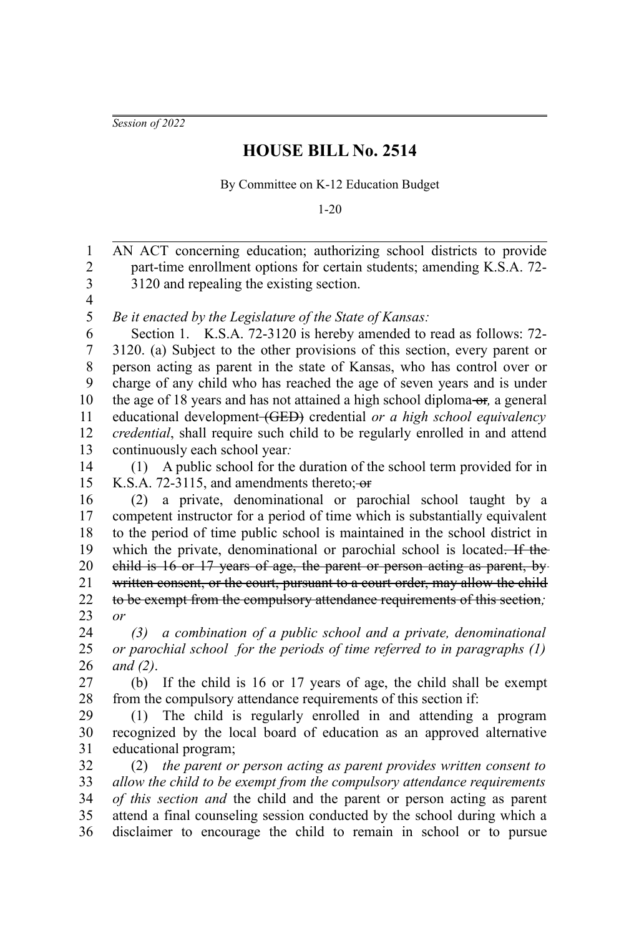*Session of 2022*

## **HOUSE BILL No. 2514**

By Committee on K-12 Education Budget

1-20

AN ACT concerning education; authorizing school districts to provide part-time enrollment options for certain students; amending K.S.A. 72- 3120 and repealing the existing section. *Be it enacted by the Legislature of the State of Kansas:* Section 1. K.S.A. 72-3120 is hereby amended to read as follows: 72- 3120. (a) Subject to the other provisions of this section, every parent or person acting as parent in the state of Kansas, who has control over or charge of any child who has reached the age of seven years and is under the age of 18 years and has not attained a high school diploma-or, a general educational development (GED) credential *or a high school equivalency credential*, shall require such child to be regularly enrolled in and attend continuously each school year*:* (1) A public school for the duration of the school term provided for in K.S.A. 72-3115, and amendments thereto; or (2) a private, denominational or parochial school taught by a competent instructor for a period of time which is substantially equivalent to the period of time public school is maintained in the school district in which the private, denominational or parochial school is located. If the child is 16 or 17 years of age, the parent or person acting as parent, by written consent, or the court, pursuant to a court order, may allow the child to be exempt from the compulsory attendance requirements of this section*; or (3) a combination of a public school and a private, denominational or parochial school for the periods of time referred to in paragraphs (1) and (2)*. (b) If the child is 16 or 17 years of age, the child shall be exempt from the compulsory attendance requirements of this section if: (1) The child is regularly enrolled in and attending a program recognized by the local board of education as an approved alternative educational program; (2) *the parent or person acting as parent provides written consent to allow the child to be exempt from the compulsory attendance requirements of this section and* the child and the parent or person acting as parent attend a final counseling session conducted by the school during which a disclaimer to encourage the child to remain in school or to pursue 1 2 3 4 5 6 7 8 9 10 11 12 13 14 15 16 17 18 19 20 21 22 23 24 25 26 27 28 29 30 31 32 33 34 35 36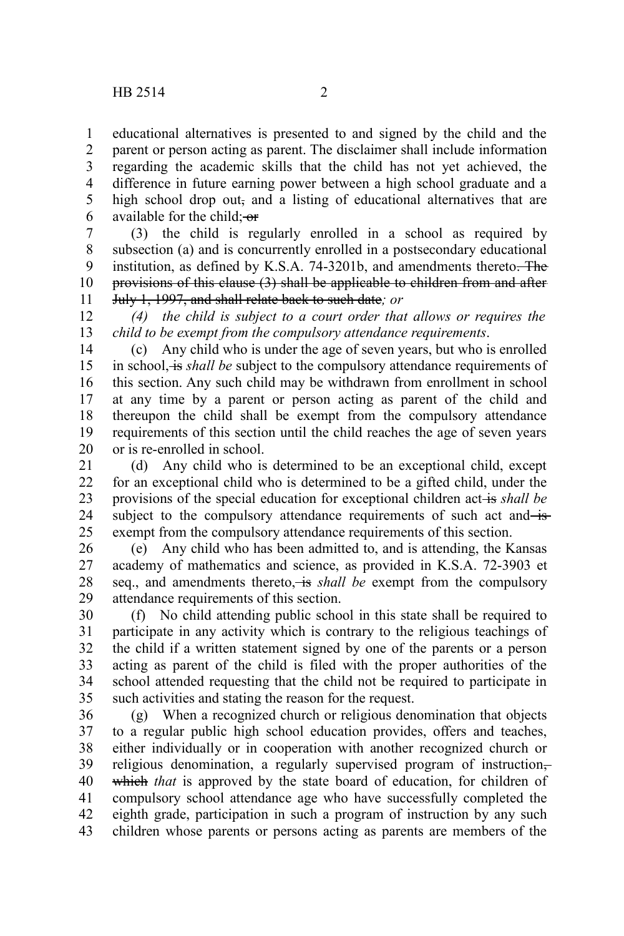educational alternatives is presented to and signed by the child and the parent or person acting as parent. The disclaimer shall include information regarding the academic skills that the child has not yet achieved, the difference in future earning power between a high school graduate and a high school drop out, and a listing of educational alternatives that are available for the child; or 1 2 3 4 5 6

(3) the child is regularly enrolled in a school as required by subsection (a) and is concurrently enrolled in a postsecondary educational institution, as defined by K.S.A. 74-3201b, and amendments thereto. The provisions of this clause (3) shall be applicable to children from and after July 1, 1997, and shall relate back to such date*; or* 7 8 9 10 11

*(4) the child is subject to a court order that allows or requires the child to be exempt from the compulsory attendance requirements*. 12 13

(c) Any child who is under the age of seven years, but who is enrolled in school, is *shall be* subject to the compulsory attendance requirements of this section. Any such child may be withdrawn from enrollment in school at any time by a parent or person acting as parent of the child and thereupon the child shall be exempt from the compulsory attendance requirements of this section until the child reaches the age of seven years or is re-enrolled in school. 14 15 16 17 18 19 20

(d) Any child who is determined to be an exceptional child, except for an exceptional child who is determined to be a gifted child, under the provisions of the special education for exceptional children act<del> is</del> shall be subject to the compulsory attendance requirements of such act and isexempt from the compulsory attendance requirements of this section. 21 22 23 24 25

(e) Any child who has been admitted to, and is attending, the Kansas academy of mathematics and science, as provided in K.S.A. 72-3903 et seq., and amendments thereto, is *shall be* exempt from the compulsory attendance requirements of this section. 26 27 28 29

(f) No child attending public school in this state shall be required to participate in any activity which is contrary to the religious teachings of the child if a written statement signed by one of the parents or a person acting as parent of the child is filed with the proper authorities of the school attended requesting that the child not be required to participate in such activities and stating the reason for the request. 30 31 32 33 34 35

(g) When a recognized church or religious denomination that objects to a regular public high school education provides, offers and teaches, either individually or in cooperation with another recognized church or religious denomination, a regularly supervised program of instruction,which *that* is approved by the state board of education, for children of compulsory school attendance age who have successfully completed the eighth grade, participation in such a program of instruction by any such children whose parents or persons acting as parents are members of the 36 37 38 39 40 41 42 43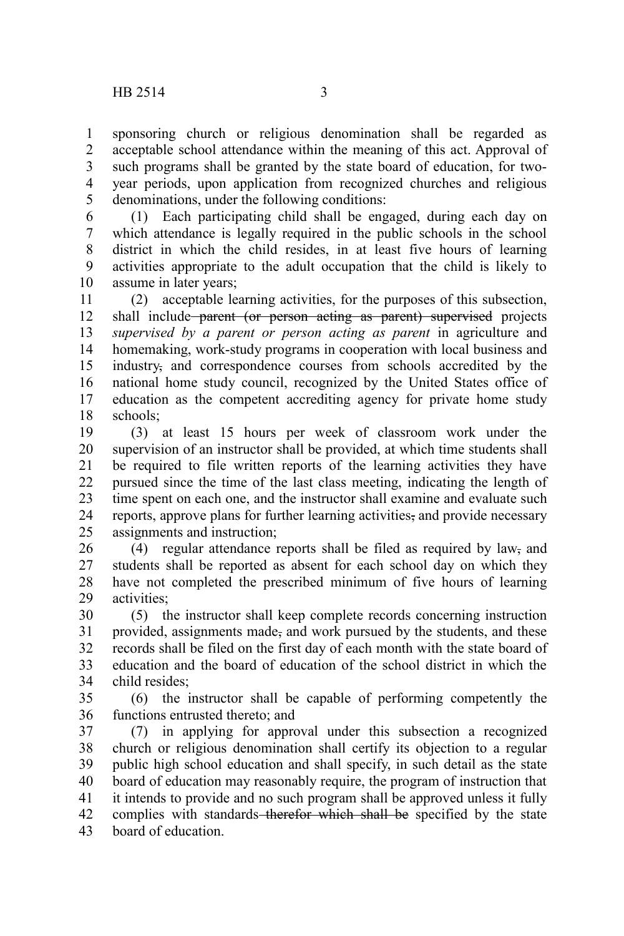sponsoring church or religious denomination shall be regarded as acceptable school attendance within the meaning of this act. Approval of such programs shall be granted by the state board of education, for twoyear periods, upon application from recognized churches and religious denominations, under the following conditions: 1 2 3 4 5

(1) Each participating child shall be engaged, during each day on which attendance is legally required in the public schools in the school district in which the child resides, in at least five hours of learning activities appropriate to the adult occupation that the child is likely to assume in later years; 6 7 8 9 10

(2) acceptable learning activities, for the purposes of this subsection, shall include parent (or person acting as parent) supervised projects *supervised by a parent or person acting as parent* in agriculture and homemaking, work-study programs in cooperation with local business and industry, and correspondence courses from schools accredited by the national home study council, recognized by the United States office of education as the competent accrediting agency for private home study schools; 11 12 13 14 15 16 17 18

(3) at least 15 hours per week of classroom work under the supervision of an instructor shall be provided, at which time students shall be required to file written reports of the learning activities they have pursued since the time of the last class meeting, indicating the length of time spent on each one, and the instructor shall examine and evaluate such reports, approve plans for further learning activities, and provide necessary assignments and instruction; 19 20 21 22 23 24 25

(4) regular attendance reports shall be filed as required by law, and students shall be reported as absent for each school day on which they have not completed the prescribed minimum of five hours of learning activities; 26 27 28 29

(5) the instructor shall keep complete records concerning instruction provided, assignments made, and work pursued by the students, and these records shall be filed on the first day of each month with the state board of education and the board of education of the school district in which the child resides; 30 31 32 33 34

(6) the instructor shall be capable of performing competently the functions entrusted thereto; and 35 36

(7) in applying for approval under this subsection a recognized church or religious denomination shall certify its objection to a regular public high school education and shall specify, in such detail as the state board of education may reasonably require, the program of instruction that it intends to provide and no such program shall be approved unless it fully complies with standards therefor which shall be specified by the state board of education. 37 38 39 40 41 42 43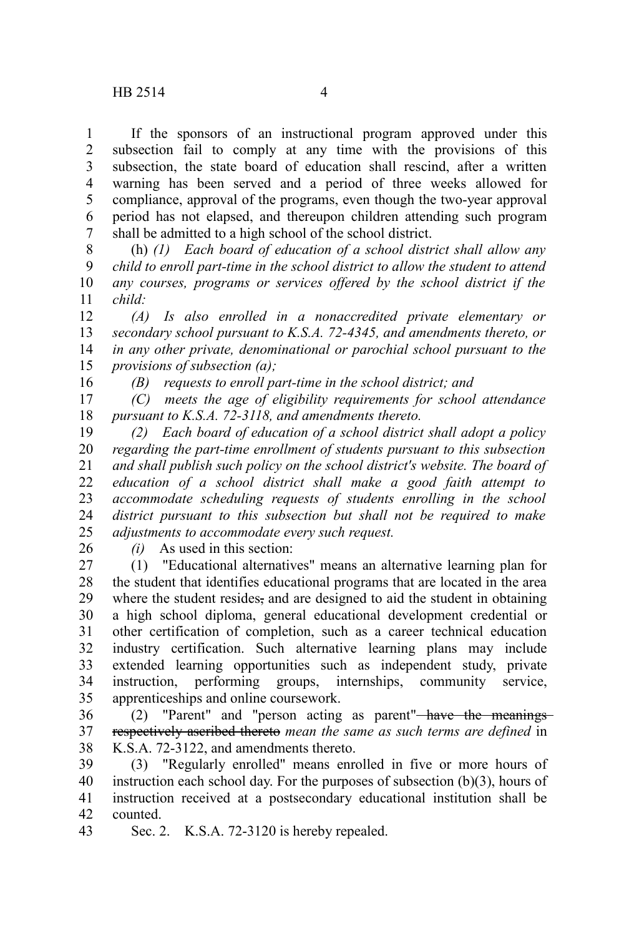If the sponsors of an instructional program approved under this subsection fail to comply at any time with the provisions of this subsection, the state board of education shall rescind, after a written warning has been served and a period of three weeks allowed for compliance, approval of the programs, even though the two-year approval period has not elapsed, and thereupon children attending such program shall be admitted to a high school of the school district. 1 2 3 4 5 6 7

(h) *(1) Each board of education of a school district shall allow any child to enroll part-time in the school district to allow the student to attend any courses, programs or services offered by the school district if the child:* 8 9 10 11

*(A) Is also enrolled in a nonaccredited private elementary or secondary school pursuant to K.S.A. 72-4345, and amendments thereto, or in any other private, denominational or parochial school pursuant to the provisions of subsection (a);* 12 13 14 15

16

*(B) requests to enroll part-time in the school district; and*

*(C) meets the age of eligibility requirements for school attendance pursuant to K.S.A. 72-3118, and amendments thereto.* 17 18

*(2) Each board of education of a school district shall adopt a policy regarding the part-time enrollment of students pursuant to this subsection and shall publish such policy on the school district's website. The board of education of a school district shall make a good faith attempt to accommodate scheduling requests of students enrolling in the school district pursuant to this subsection but shall not be required to make adjustments to accommodate every such request.* 19 20 21 22 23 24 25

26

*(i)* As used in this section:

(1) "Educational alternatives" means an alternative learning plan for the student that identifies educational programs that are located in the area where the student resides, and are designed to aid the student in obtaining a high school diploma, general educational development credential or other certification of completion, such as a career technical education industry certification. Such alternative learning plans may include extended learning opportunities such as independent study, private instruction, performing groups, internships, community service, apprenticeships and online coursework. 27 28 29 30 31 32 33 34 35

(2) "Parent" and "person acting as parent" have the meanings respectively ascribed thereto *mean the same as such terms are defined* in K.S.A. 72-3122, and amendments thereto. 36 37 38

(3) "Regularly enrolled" means enrolled in five or more hours of instruction each school day. For the purposes of subsection (b)(3), hours of instruction received at a postsecondary educational institution shall be counted. 39 40 41 42

Sec. 2. K.S.A. 72-3120 is hereby repealed. 43